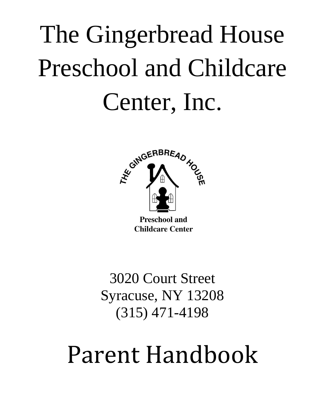# The Gingerbread House Preschool and Childcare Center, Inc.



3020 Court Street Syracuse, NY 13208 (315) 471-4198

## Parent Handbook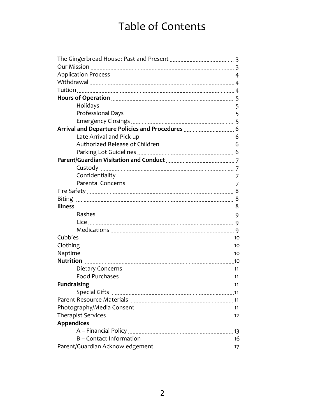## Table of Contents

| Arrival and Departure Policies and Procedures <b></b> 6             |    |
|---------------------------------------------------------------------|----|
|                                                                     |    |
|                                                                     |    |
|                                                                     |    |
| Parent/Guardian Visitation and Conduct Materian Materian Materian 7 |    |
|                                                                     |    |
|                                                                     |    |
|                                                                     |    |
|                                                                     |    |
|                                                                     |    |
|                                                                     |    |
|                                                                     |    |
|                                                                     |    |
|                                                                     |    |
|                                                                     |    |
|                                                                     |    |
|                                                                     |    |
|                                                                     |    |
|                                                                     |    |
|                                                                     |    |
|                                                                     |    |
| <b>Special Gifts</b>                                                | 11 |
|                                                                     |    |
|                                                                     |    |
|                                                                     |    |
| <b>Appendices</b>                                                   |    |
|                                                                     |    |
|                                                                     |    |
|                                                                     |    |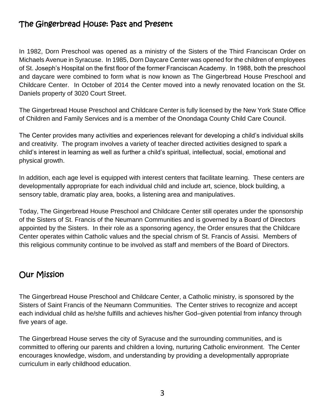#### The Gingerbread House: Past and Present

In 1982, Dorn Preschool was opened as a ministry of the Sisters of the Third Franciscan Order on Michaels Avenue in Syracuse. In 1985, Dorn Daycare Center was opened for the children of employees of St. Joseph's Hospital on the first floor of the former Franciscan Academy. In 1988, both the preschool and daycare were combined to form what is now known as The Gingerbread House Preschool and Childcare Center. In October of 2014 the Center moved into a newly renovated location on the St. Daniels property of 3020 Court Street.

The Gingerbread House Preschool and Childcare Center is fully licensed by the New York State Office of Children and Family Services and is a member of the Onondaga County Child Care Council.

The Center provides many activities and experiences relevant for developing a child's individual skills and creativity. The program involves a variety of teacher directed activities designed to spark a child's interest in learning as well as further a child's spiritual, intellectual, social, emotional and physical growth.

In addition, each age level is equipped with interest centers that facilitate learning. These centers are developmentally appropriate for each individual child and include art, science, block building, a sensory table, dramatic play area, books, a listening area and manipulatives.

Today, The Gingerbread House Preschool and Childcare Center still operates under the sponsorship of the Sisters of St. Francis of the Neumann Communities and is governed by a Board of Directors appointed by the Sisters. In their role as a sponsoring agency, the Order ensures that the Childcare Center operates within Catholic values and the special chrism of St. Francis of Assisi. Members of this religious community continue to be involved as staff and members of the Board of Directors.

#### Our Mission

The Gingerbread House Preschool and Childcare Center, a Catholic ministry, is sponsored by the Sisters of Saint Francis of the Neumann Communities. The Center strives to recognize and accept each individual child as he/she fulfills and achieves his/her God–given potential from infancy through five years of age.

The Gingerbread House serves the city of Syracuse and the surrounding communities, and is committed to offering our parents and children a loving, nurturing Catholic environment. The Center encourages knowledge, wisdom, and understanding by providing a developmentally appropriate curriculum in early childhood education.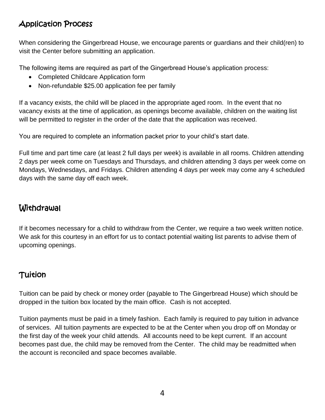## Application Process

When considering the Gingerbread House, we encourage parents or guardians and their child(ren) to visit the Center before submitting an application.

The following items are required as part of the Gingerbread House's application process:

- Completed Childcare Application form
- Non-refundable \$25.00 application fee per family

If a vacancy exists, the child will be placed in the appropriate aged room. In the event that no vacancy exists at the time of application, as openings become available, children on the waiting list will be permitted to register in the order of the date that the application was received.

You are required to complete an information packet prior to your child's start date.

Full time and part time care (at least 2 full days per week) is available in all rooms. Children attending 2 days per week come on Tuesdays and Thursdays, and children attending 3 days per week come on Mondays, Wednesdays, and Fridays. Children attending 4 days per week may come any 4 scheduled days with the same day off each week.

## **Withdrawal**

If it becomes necessary for a child to withdraw from the Center, we require a two week written notice. We ask for this courtesy in an effort for us to contact potential waiting list parents to advise them of upcoming openings.

#### **Tuition**

Tuition can be paid by check or money order (payable to The Gingerbread House) which should be dropped in the tuition box located by the main office. Cash is not accepted.

Tuition payments must be paid in a timely fashion. Each family is required to pay tuition in advance of services. All tuition payments are expected to be at the Center when you drop off on Monday or the first day of the week your child attends. All accounts need to be kept current. If an account becomes past due, the child may be removed from the Center. The child may be readmitted when the account is reconciled and space becomes available.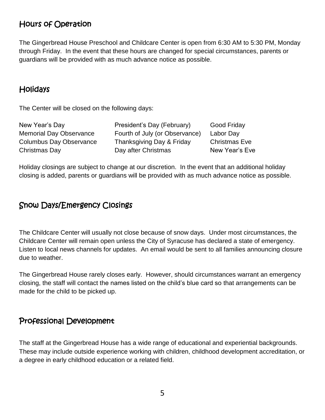#### Hours of Operation

The Gingerbread House Preschool and Childcare Center is open from 6:30 AM to 5:30 PM, Monday through Friday. In the event that these hours are changed for special circumstances, parents or guardians will be provided with as much advance notice as possible.

#### **Holidays**

The Center will be closed on the following days:

| New Year's Day                 | President's Day (February)     | <b>Good Friday</b>   |
|--------------------------------|--------------------------------|----------------------|
| <b>Memorial Day Observance</b> | Fourth of July (or Observance) | Labor Day            |
| <b>Columbus Day Observance</b> | Thanksgiving Day & Friday      | <b>Christmas Eve</b> |
| Christmas Day                  | Day after Christmas            | New Year's Eve       |
|                                |                                |                      |

Holiday closings are subject to change at our discretion. In the event that an additional holiday closing is added, parents or guardians will be provided with as much advance notice as possible.

#### Snow Days/Emergency Closings

The Childcare Center will usually not close because of snow days. Under most circumstances, the Childcare Center will remain open unless the City of Syracuse has declared a state of emergency. Listen to local news channels for updates. An email would be sent to all families announcing closure due to weather.

The Gingerbread House rarely closes early. However, should circumstances warrant an emergency closing, the staff will contact the names listed on the child's blue card so that arrangements can be made for the child to be picked up.

#### Professional Development

The staff at the Gingerbread House has a wide range of educational and experiential backgrounds. These may include outside experience working with children, childhood development accreditation, or a degree in early childhood education or a related field.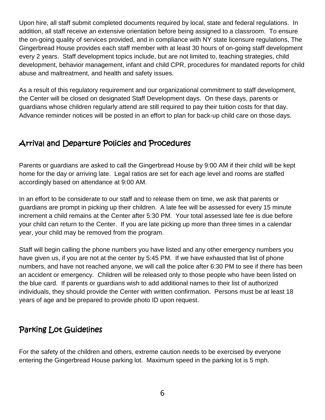Upon hire, all staff submit completed documents required by local, state and federal regulations. In addition, all staff receive an extensive orientation before being assigned to a classroom. To ensure the on-going quality of services provided, and in compliance with NY state licensure regulations, The Gingerbread House provides each staff member with at least 30 hours of on-going staff development every 2 years. Staff development topics include, but are not limited to, teaching strategies, child development, behavior management, infant and child CPR, procedures for mandated reports for child abuse and maltreatment, and health and safety issues.

As a result of this regulatory requirement and our organizational commitment to staff development, the Center will be closed on designated Staff Development days. On these days, parents or guardians whose children regularly attend are still required to pay their tuition costs for that day. Advance reminder notices will be posted in an effort to plan for back-up child care on those days.

#### Arrival and Departure Policies and Procedures

Parents or guardians are asked to call the Gingerbread House by 9:00 AM if their child will be kept home for the day or arriving late. Legal ratios are set for each age level and rooms are staffed accordingly based on attendance at 9:00 AM.

In an effort to be considerate to our staff and to release them on time, we ask that parents or guardians are prompt in picking up their children. A late fee will be assessed for every 15 minute increment a child remains at the Center after 5:30 PM. Your total assessed late fee is due before your child can return to the Center. If you are late picking up more than three times in a calendar year, your child may be removed from the program.

Staff will begin calling the phone numbers you have listed and any other emergency numbers you have given us, if you are not at the center by 5:45 PM. If we have exhausted that list of phone numbers, and have not reached anyone, we will call the police after 6:30 PM to see if there has been an accident or emergency. Children will be released only to those people who have been listed on the blue card. If parents or guardians wish to add additional names to their list of authorized individuals, they should provide the Center with written confirmation. Persons must be at least 18 years of age and be prepared to provide photo ID upon request.

## Parking Lot Guidelines

For the safety of the children and others, extreme caution needs to be exercised by everyone entering the Gingerbread House parking lot. Maximum speed in the parking lot is 5 mph.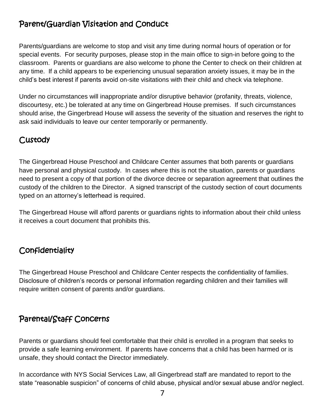### Parent/Guardian Visitation and Conduct

Parents/guardians are welcome to stop and visit any time during normal hours of operation or for special events. For security purposes, please stop in the main office to sign-in before going to the classroom. Parents or guardians are also welcome to phone the Center to check on their children at any time. If a child appears to be experiencing unusual separation anxiety issues, it may be in the child's best interest if parents avoid on-site visitations with their child and check via telephone.

Under no circumstances will inappropriate and/or disruptive behavior (profanity, threats, violence, discourtesy, etc.) be tolerated at any time on Gingerbread House premises. If such circumstances should arise, the Gingerbread House will assess the severity of the situation and reserves the right to ask said individuals to leave our center temporarily or permanently.

#### **Custody**

The Gingerbread House Preschool and Childcare Center assumes that both parents or guardians have personal and physical custody. In cases where this is not the situation, parents or guardians need to present a copy of that portion of the divorce decree or separation agreement that outlines the custody of the children to the Director. A signed transcript of the custody section of court documents typed on an attorney's letterhead is required.

The Gingerbread House will afford parents or guardians rights to information about their child unless it receives a court document that prohibits this.

#### **Confidentiality**

The Gingerbread House Preschool and Childcare Center respects the confidentiality of families. Disclosure of children's records or personal information regarding children and their families will require written consent of parents and/or guardians.

#### Parental/Staff Concerns

Parents or guardians should feel comfortable that their child is enrolled in a program that seeks to provide a safe learning environment. If parents have concerns that a child has been harmed or is unsafe, they should contact the Director immediately.

In accordance with NYS Social Services Law, all Gingerbread staff are mandated to report to the state "reasonable suspicion" of concerns of child abuse, physical and/or sexual abuse and/or neglect.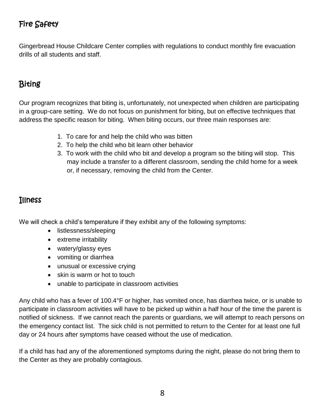## Fire Safety

Gingerbread House Childcare Center complies with regulations to conduct monthly fire evacuation drills of all students and staff.

## Biting

Our program recognizes that biting is, unfortunately, not unexpected when children are participating in a group-care setting. We do not focus on punishment for biting, but on effective techniques that address the specific reason for biting. When biting occurs, our three main responses are:

- 1. To care for and help the child who was bitten
- 2. To help the child who bit learn other behavior
- 3. To work with the child who bit and develop a program so the biting will stop. This may include a transfer to a different classroom, sending the child home for a week or, if necessary, removing the child from the Center.

#### Illness

We will check a child's temperature if they exhibit any of the following symptoms:

- listlessness/sleeping
- extreme irritability
- watery/glassy eyes
- vomiting or diarrhea
- unusual or excessive crying
- skin is warm or hot to touch
- unable to participate in classroom activities

Any child who has a fever of 100.4°F or higher, has vomited once, has diarrhea twice, or is unable to participate in classroom activities will have to be picked up within a half hour of the time the parent is notified of sickness. If we cannot reach the parents or guardians, we will attempt to reach persons on the emergency contact list. The sick child is not permitted to return to the Center for at least one full day or 24 hours after symptoms have ceased without the use of medication.

If a child has had any of the aforementioned symptoms during the night, please do not bring them to the Center as they are probably contagious.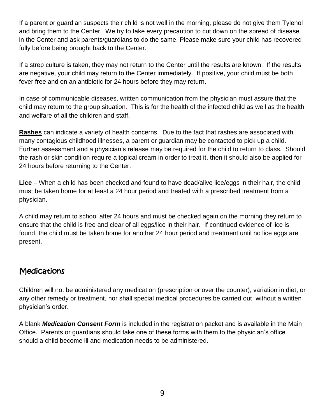If a parent or guardian suspects their child is not well in the morning, please do not give them Tylenol and bring them to the Center. We try to take every precaution to cut down on the spread of disease in the Center and ask parents/guardians to do the same. Please make sure your child has recovered fully before being brought back to the Center.

If a strep culture is taken, they may not return to the Center until the results are known. If the results are negative, your child may return to the Center immediately. If positive, your child must be both fever free and on an antibiotic for 24 hours before they may return.

In case of communicable diseases, written communication from the physician must assure that the child may return to the group situation. This is for the health of the infected child as well as the health and welfare of all the children and staff.

**Rashes** can indicate a variety of health concerns. Due to the fact that rashes are associated with many contagious childhood illnesses, a parent or guardian may be contacted to pick up a child. Further assessment and a physician's release may be required for the child to return to class. Should the rash or skin condition require a topical cream in order to treat it, then it should also be applied for 24 hours before returning to the Center.

**Lice** – When a child has been checked and found to have dead/alive lice/eggs in their hair, the child must be taken home for at least a 24 hour period and treated with a prescribed treatment from a physician.

A child may return to school after 24 hours and must be checked again on the morning they return to ensure that the child is free and clear of all eggs/lice in their hair. If continued evidence of lice is found, the child must be taken home for another 24 hour period and treatment until no lice eggs are present.

#### **Medications**

Children will not be administered any medication (prescription or over the counter), variation in diet, or any other remedy or treatment, nor shall special medical procedures be carried out, without a written physician's order.

A blank *Medication Consent Form* is included in the registration packet and is available in the Main Office. Parents or guardians should take one of these forms with them to the physician's office should a child become ill and medication needs to be administered.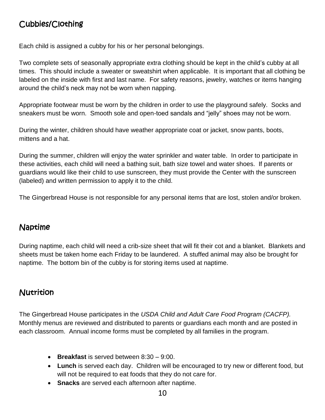## Cubbies/Clothing

Each child is assigned a cubby for his or her personal belongings.

Two complete sets of seasonally appropriate extra clothing should be kept in the child's cubby at all times. This should include a sweater or sweatshirt when applicable. It is important that all clothing be labeled on the inside with first and last name. For safety reasons, jewelry, watches or items hanging around the child's neck may not be worn when napping.

Appropriate footwear must be worn by the children in order to use the playground safely. Socks and sneakers must be worn. Smooth sole and open-toed sandals and "jelly" shoes may not be worn.

During the winter, children should have weather appropriate coat or jacket, snow pants, boots, mittens and a hat.

During the summer, children will enjoy the water sprinkler and water table. In order to participate in these activities, each child will need a bathing suit, bath size towel and water shoes. If parents or guardians would like their child to use sunscreen, they must provide the Center with the sunscreen (labeled) and written permission to apply it to the child.

The Gingerbread House is not responsible for any personal items that are lost, stolen and/or broken.

#### Naptime

During naptime, each child will need a crib-size sheet that will fit their cot and a blanket. Blankets and sheets must be taken home each Friday to be laundered. A stuffed animal may also be brought for naptime. The bottom bin of the cubby is for storing items used at naptime.

#### **Nutrition**

The Gingerbread House participates in the *USDA Child and Adult Care Food Program (CACFP).*  Monthly menus are reviewed and distributed to parents or guardians each month and are posted in each classroom. Annual income forms must be completed by all families in the program.

- **Breakfast** is served between 8:30 9:00.
- **Lunch** is served each day. Children will be encouraged to try new or different food, but will not be required to eat foods that they do not care for.
- **Snacks** are served each afternoon after naptime.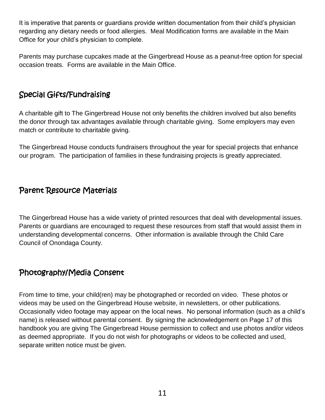It is imperative that parents or guardians provide written documentation from their child's physician regarding any dietary needs or food allergies. Meal Modification forms are available in the Main Office for your child's physician to complete.

Parents may purchase cupcakes made at the Gingerbread House as a peanut-free option for special occasion treats. Forms are available in the Main Office.

#### Special Gifts/Fundraising

A charitable gift to The Gingerbread House not only benefits the children involved but also benefits the donor through tax advantages available through charitable giving. Some employers may even match or contribute to charitable giving.

The Gingerbread House conducts fundraisers throughout the year for special projects that enhance our program. The participation of families in these fundraising projects is greatly appreciated.

#### Parent Resource Materials

The Gingerbread House has a wide variety of printed resources that deal with developmental issues. Parents or guardians are encouraged to request these resources from staff that would assist them in understanding developmental concerns. Other information is available through the Child Care Council of Onondaga County.

#### Photography/Media Consent

From time to time, your child(ren) may be photographed or recorded on video. These photos or videos may be used on the Gingerbread House website, in newsletters, or other publications. Occasionally video footage may appear on the local news. No personal information (such as a child's name) is released without parental consent. By signing the acknowledgement on Page 17 of this handbook you are giving The Gingerbread House permission to collect and use photos and/or videos as deemed appropriate. If you do not wish for photographs or videos to be collected and used, separate written notice must be given.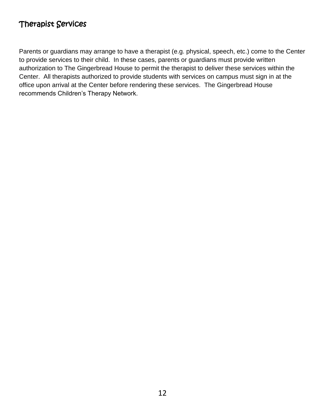#### Therapist Services

Parents or guardians may arrange to have a therapist (e.g. physical, speech, etc.) come to the Center to provide services to their child. In these cases, parents or guardians must provide written authorization to The Gingerbread House to permit the therapist to deliver these services within the Center. All therapists authorized to provide students with services on campus must sign in at the office upon arrival at the Center before rendering these services. The Gingerbread House recommends Children's Therapy Network.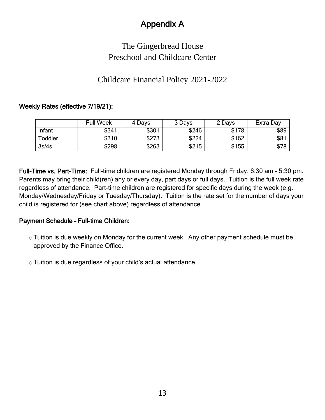## Appendix A

## The Gingerbread House Preschool and Childcare Center

#### Childcare Financial Policy 2021-2022

#### Weekly Rates (effective 7/19/21):

|         | <b>Full Week</b> | 4 Days | 3 Days | 2 Days | Extra Day |
|---------|------------------|--------|--------|--------|-----------|
| Infant  | \$341            | \$301  | \$246  | \$178  | \$89      |
| Toddler | \$310            | \$273  | \$224  | \$162  | \$81      |
| 3s/4s   | \$298            | \$263  | \$215  | \$155  | \$78      |

Full-Time vs. Part-Time: Full-time children are registered Monday through Friday, 6:30 am – 5:30 pm. Parents may bring their child(ren) any or every day, part days or full days. Tuition is the full week rate regardless of attendance. Part-time children are registered for specific days during the week (e.g. Monday/Wednesday/Friday or Tuesday/Thursday). Tuition is the rate set for the number of days your child is registered for (see chart above) regardless of attendance.

#### Payment Schedule – Full-time Children:

- o Tuition is due weekly on Monday for the current week. Any other payment schedule must be approved by the Finance Office.
- oTuition is due regardless of your child's actual attendance.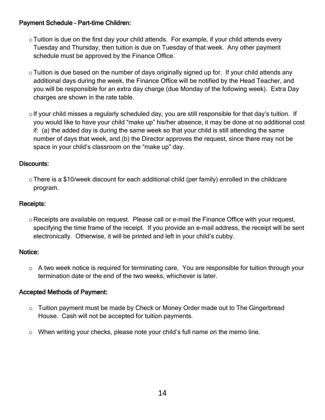#### Payment Schedule – Part-time Children:

- $\circ$  Tuition is due on the first day your child attends. For example, if your child attends every Tuesday and Thursday, then tuition is due on Tuesday of that week. Any other payment schedule must be approved by the Finance Office.
- $\circ$  Tuition is due based on the number of days originally signed up for. If your child attends any additional days during the week, the Finance Office will be notified by the Head Teacher, and you will be responsible for an extra day charge (due Monday of the following week). Extra Day charges are shown in the rate table.
- $\circ$  If your child misses a regularly scheduled day, you are still responsible for that day's tuition. If you would like to have your child "make up" his/her absence, it may be done at no additional cost if: (a) the added day is during the same week so that your child is still attending the same number of days that week, and (b) the Director approves the request, since there may not be space in your child's classroom on the "make up" day.

#### Discounts:

 $\circ$  There is a \$10/week discount for each additional child (per family) enrolled in the childcare program.

#### Receipts:

 $\circ$  Receipts are available on request. Please call or e-mail the Finance Office with your request, specifying the time frame of the receipt. If you provide an e-mail address, the receipt will be sent electronically. Otherwise, it will be printed and left in your child's cubby.

#### Notice:

o A two week notice is required for terminating care. You are responsible for tuition through your termination date or the end of the two weeks, whichever is later.

#### Accepted Methods of Payment:

- $\circ$  Tuition payment must be made by Check or Money Order made out to The Gingerbread House. Cash will not be accepted for tuition payments.
- o When writing your checks, please note your child's full name on the memo line.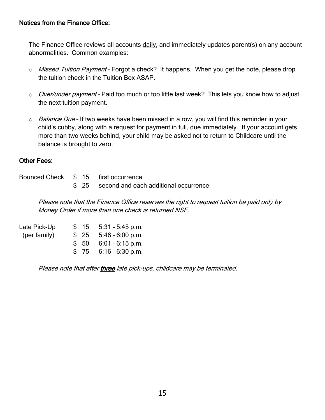#### Notices from the Finance Office:

The Finance Office reviews all accounts daily, and immediately updates parent(s) on any account abnormalities. Common examples:

- o Missed Tuition Payment Forgot a check? It happens. When you get the note, please drop the tuition check in the Tuition Box ASAP.
- o *Over/under payment* Paid too much or too little last week? This lets you know how to adjust the next tuition payment.
- $\circ$  *Balance Due* If two weeks have been missed in a row, you will find this reminder in your child's cubby, along with a request for payment in full, due immediately. If your account gets more than two weeks behind, your child may be asked not to return to Childcare until the balance is brought to zero.

#### Other Fees:

|  | Bounced Check \$15 first occurrence         |
|--|---------------------------------------------|
|  | \$ 25 second and each additional occurrence |

Please note that the Finance Office reserves the right to request tuition be paid only by Money Order if more than one check is returned NSF.

| Late Pick-Up |  | $$15 \quad 5:31 - 5:45 \text{ p.m.}$ |
|--------------|--|--------------------------------------|
| (per family) |  | $$25$ 5:46 - 6:00 p.m.               |
|              |  | $$50$ 6:01 - 6:15 p.m.               |
|              |  | $$75$ 6:16 - 6:30 p.m.               |

Please note that after three late pick-ups, childcare may be terminated.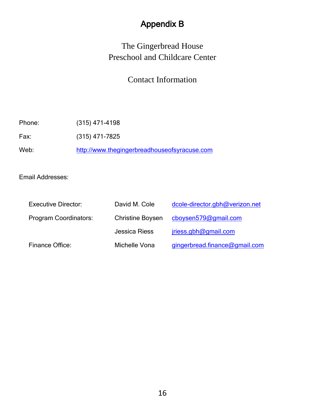## Appendix B

## The Gingerbread House Preschool and Childcare Center

#### Contact Information

Phone: (315) 471-4198

Fax: (315) 471-7825

Web: [http://www.thegingerbreadhouseofsyracuse.com](http://www.thegingerbreadhouseofsyracuse.com/)

Email Addresses:

| <b>Executive Director:</b> | David M. Cole           | dcole-director.gbh@verizon.net |
|----------------------------|-------------------------|--------------------------------|
| Program Coordinators:      | <b>Christine Boysen</b> | cboysen579@gmail.com           |
|                            | <b>Jessica Riess</b>    | jriess.gbh@gmail.com           |
| Finance Office:            | Michelle Vona           | gingerbread.finance@gmail.com  |